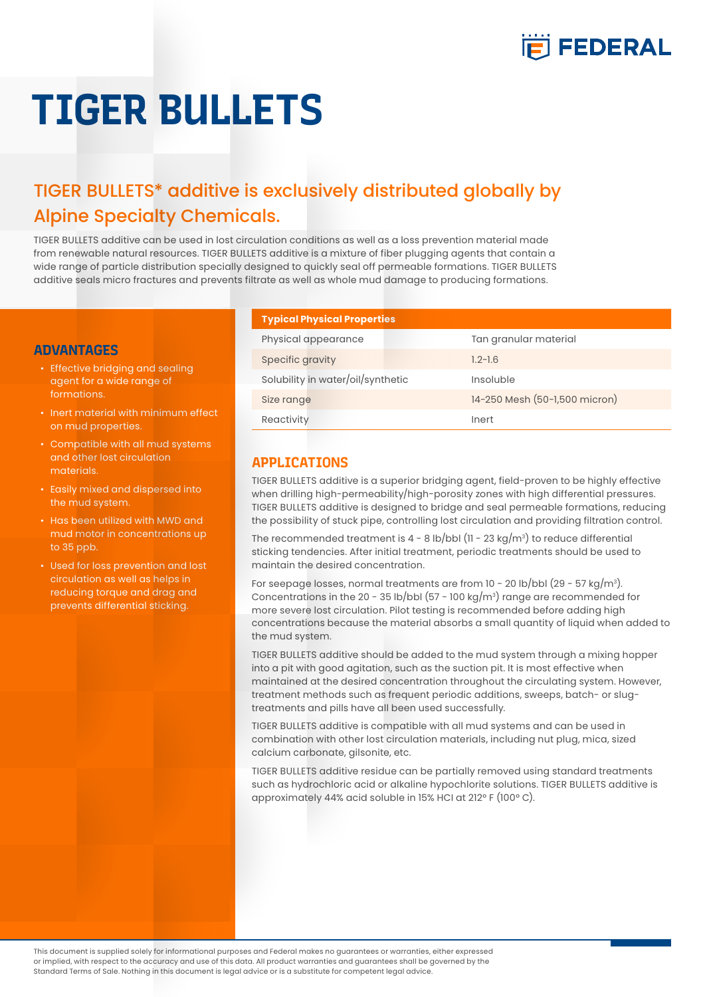

# **TIGER BULLETS**

# TIGER BULLETS\* additive is exclusively distributed globally by Alpine Specialty Chemicals.

TIGER BULLETS additive can be used in lost circulation conditions as well as a loss prevention material made from renewable natural resources. TIGER BULLETS additive is a mixture of fiber plugging agents that contain a wide range of particle distribution specially designed to quickly seal off permeable formations. TIGER BULLETS additive seals micro fractures and prevents filtrate as well as whole mud damage to producing formations.

# **ADVANTAGES**

- Effective bridging and sealing agent for a wide range of formations.
- Inert material with minimum effect on mud properties.
- Compatible with all mud systems and other lost circulation materials.
- Easily mixed and dispersed into the mud system.
- Has been utilized with MWD and mud motor in concentrations up to 35 ppb.
- Used for loss prevention and lost circulation as well as helps in reducing torque and drag and prevents differential sticking.

#### **Typical Physical Properties**

| Physical appearance               | Tan granular material         |
|-----------------------------------|-------------------------------|
| Specific gravity                  | $1.2 - 1.6$                   |
| Solubility in water/oil/synthetic | Insoluble                     |
| Size range                        | 14-250 Mesh (50-1,500 micron) |
| Reactivity                        | Inert                         |

# **APPLICATIONS**

TIGER BULLETS additive is a superior bridging agent, field-proven to be highly effective when drilling high-permeability/high-porosity zones with high differential pressures. TIGER BULLETS additive is designed to bridge and seal permeable formations, reducing the possibility of stuck pipe, controlling lost circulation and providing filtration control.

The recommended treatment is 4 - 8 lb/bbl (11 - 23 kg/m $\mathrm{^3}$ ) to reduce differential sticking tendencies. After initial treatment, periodic treatments should be used to maintain the desired concentration.

For seepage losses, normal treatments are from 10 - 20 lb/bbl (29 - 57 kg/m $^3$ ). Concentrations in the 20 - 35 lb/bbl (57 - 100 kg/m3 ) range are recommended for more severe lost circulation. Pilot testing is recommended before adding high concentrations because the material absorbs a small quantity of liquid when added to the mud system.

TIGER BULLETS additive should be added to the mud system through a mixing hopper into a pit with good agitation, such as the suction pit. It is most effective when maintained at the desired concentration throughout the circulating system. However, treatment methods such as frequent periodic additions, sweeps, batch- or slugtreatments and pills have all been used successfully.

TIGER BULLETS additive is compatible with all mud systems and can be used in combination with other lost circulation materials, including nut plug, mica, sized calcium carbonate, gilsonite, etc.

TIGER BULLETS additive residue can be partially removed using standard treatments such as hydrochloric acid or alkaline hypochlorite solutions. TIGER BULLETS additive is approximately 44% acid soluble in 15% HCI at 212° F (100° C).

This document is supplied solely for informational purposes and Federal makes no guarantees or warranties, either expressed or implied, with respect to the accuracy and use of this data. All product warranties and guarantees shall be governed by the Standard Terms of Sale. Nothing in this document is legal advice or is a substitute for competent legal advice.